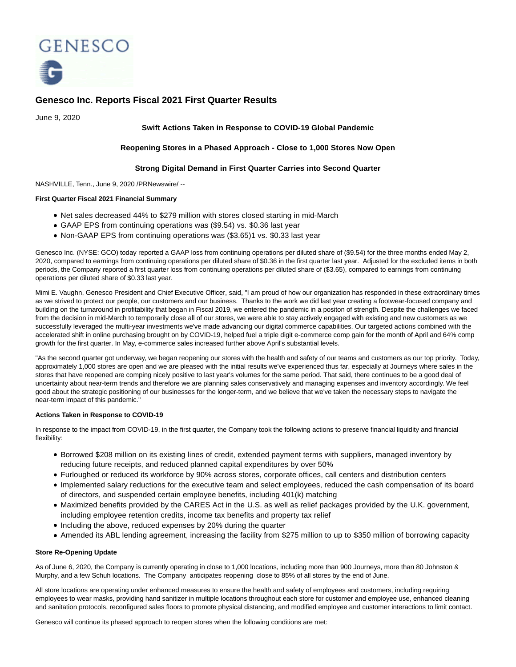

# **Genesco Inc. Reports Fiscal 2021 First Quarter Results**

June 9, 2020

## **Swift Actions Taken in Response to COVID-19 Global Pandemic**

## **Reopening Stores in a Phased Approach - Close to 1,000 Stores Now Open**

## **Strong Digital Demand in First Quarter Carries into Second Quarter**

NASHVILLE, Tenn., June 9, 2020 /PRNewswire/ --

## **First Quarter Fiscal 2021 Financial Summary**

- Net sales decreased 44% to \$279 million with stores closed starting in mid-March
- GAAP EPS from continuing operations was (\$9.54) vs. \$0.36 last year
- Non-GAAP EPS from continuing operations was (\$3.65)1 vs. \$0.33 last year

Genesco Inc. (NYSE: GCO) today reported a GAAP loss from continuing operations per diluted share of (\$9.54) for the three months ended May 2, 2020, compared to earnings from continuing operations per diluted share of \$0.36 in the first quarter last year. Adjusted for the excluded items in both periods, the Company reported a first quarter loss from continuing operations per diluted share of (\$3.65), compared to earnings from continuing operations per diluted share of \$0.33 last year.

Mimi E. Vaughn, Genesco President and Chief Executive Officer, said, "I am proud of how our organization has responded in these extraordinary times as we strived to protect our people, our customers and our business. Thanks to the work we did last year creating a footwear-focused company and building on the turnaround in profitability that began in Fiscal 2019, we entered the pandemic in a positon of strength. Despite the challenges we faced from the decision in mid-March to temporarily close all of our stores, we were able to stay actively engaged with existing and new customers as we successfully leveraged the multi-year investments we've made advancing our digital commerce capabilities. Our targeted actions combined with the accelerated shift in online purchasing brought on by COVID-19, helped fuel a triple digit e-commerce comp gain for the month of April and 64% comp growth for the first quarter. In May, e-commerce sales increased further above April's substantial levels.

"As the second quarter got underway, we began reopening our stores with the health and safety of our teams and customers as our top priority. Today, approximately 1,000 stores are open and we are pleased with the initial results we've experienced thus far, especially at Journeys where sales in the stores that have reopened are comping nicely positive to last year's volumes for the same period. That said, there continues to be a good deal of uncertainty about near-term trends and therefore we are planning sales conservatively and managing expenses and inventory accordingly. We feel good about the strategic positioning of our businesses for the longer-term, and we believe that we've taken the necessary steps to navigate the near-term impact of this pandemic."

## **Actions Taken in Response to COVID-19**

In response to the impact from COVID-19, in the first quarter, the Company took the following actions to preserve financial liquidity and financial flexibility:

- Borrowed \$208 million on its existing lines of credit, extended payment terms with suppliers, managed inventory by reducing future receipts, and reduced planned capital expenditures by over 50%
- Furloughed or reduced its workforce by 90% across stores, corporate offices, call centers and distribution centers
- Implemented salary reductions for the executive team and select employees, reduced the cash compensation of its board of directors, and suspended certain employee benefits, including 401(k) matching
- Maximized benefits provided by the CARES Act in the U.S. as well as relief packages provided by the U.K. government, including employee retention credits, income tax benefits and property tax relief
- Including the above, reduced expenses by 20% during the quarter
- Amended its ABL lending agreement, increasing the facility from \$275 million to up to \$350 million of borrowing capacity

## **Store Re-Opening Update**

As of June 6, 2020, the Company is currently operating in close to 1,000 locations, including more than 900 Journeys, more than 80 Johnston & Murphy, and a few Schuh locations. The Company anticipates reopening close to 85% of all stores by the end of June.

All store locations are operating under enhanced measures to ensure the health and safety of employees and customers, including requiring employees to wear masks, providing hand sanitizer in multiple locations throughout each store for customer and employee use, enhanced cleaning and sanitation protocols, reconfigured sales floors to promote physical distancing, and modified employee and customer interactions to limit contact.

Genesco will continue its phased approach to reopen stores when the following conditions are met: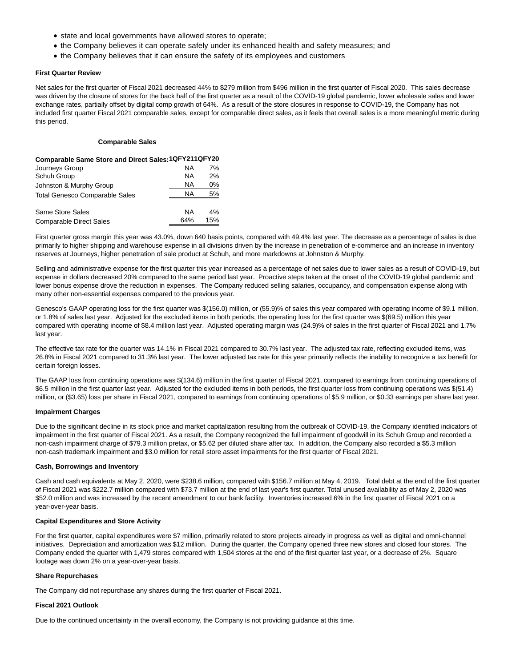- state and local governments have allowed stores to operate;
- the Company believes it can operate safely under its enhanced health and safety measures; and
- the Company believes that it can ensure the safety of its employees and customers

#### **First Quarter Review**

Net sales for the first quarter of Fiscal 2021 decreased 44% to \$279 million from \$496 million in the first quarter of Fiscal 2020. This sales decrease was driven by the closure of stores for the back half of the first quarter as a result of the COVID-19 global pandemic, lower wholesale sales and lower exchange rates, partially offset by digital comp growth of 64%. As a result of the store closures in response to COVID-19, the Company has not included first quarter Fiscal 2021 comparable sales, except for comparable direct sales, as it feels that overall sales is a more meaningful metric during this period.

#### **Comparable Sales**

| Comparable Same Store and Direct Sales: 1QFY211QFY20 |           |       |
|------------------------------------------------------|-----------|-------|
| Journeys Group                                       | NA.       | 7%    |
| Schuh Group                                          | ΝA        | 2%    |
| Johnston & Murphy Group                              | NA        | $0\%$ |
| <b>Total Genesco Comparable Sales</b>                | NA        | 5%    |
| Same Store Sales                                     | <b>NA</b> | 4%    |
| <b>Comparable Direct Sales</b>                       | 64%       | 15%   |

First quarter gross margin this year was 43.0%, down 640 basis points, compared with 49.4% last year. The decrease as a percentage of sales is due primarily to higher shipping and warehouse expense in all divisions driven by the increase in penetration of e-commerce and an increase in inventory reserves at Journeys, higher penetration of sale product at Schuh, and more markdowns at Johnston & Murphy.

Selling and administrative expense for the first quarter this year increased as a percentage of net sales due to lower sales as a result of COVID-19, but expense in dollars decreased 20% compared to the same period last year. Proactive steps taken at the onset of the COVID-19 global pandemic and lower bonus expense drove the reduction in expenses. The Company reduced selling salaries, occupancy, and compensation expense along with many other non-essential expenses compared to the previous year.

Genesco's GAAP operating loss for the first quarter was \$(156.0) million, or (55.9)% of sales this year compared with operating income of \$9.1 million, or 1.8% of sales last year. Adjusted for the excluded items in both periods, the operating loss for the first quarter was \$(69.5) million this year compared with operating income of \$8.4 million last year. Adjusted operating margin was (24.9)% of sales in the first quarter of Fiscal 2021 and 1.7% last year.

The effective tax rate for the quarter was 14.1% in Fiscal 2021 compared to 30.7% last year. The adjusted tax rate, reflecting excluded items, was 26.8% in Fiscal 2021 compared to 31.3% last year. The lower adjusted tax rate for this year primarily reflects the inability to recognize a tax benefit for certain foreign losses.

The GAAP loss from continuing operations was \$(134.6) million in the first quarter of Fiscal 2021, compared to earnings from continuing operations of \$6.5 million in the first quarter last year. Adjusted for the excluded items in both periods, the first quarter loss from continuing operations was \$(51.4) million, or (\$3.65) loss per share in Fiscal 2021, compared to earnings from continuing operations of \$5.9 million, or \$0.33 earnings per share last year.

## **Impairment Charges**

Due to the significant decline in its stock price and market capitalization resulting from the outbreak of COVID-19, the Company identified indicators of impairment in the first quarter of Fiscal 2021. As a result, the Company recognized the full impairment of goodwill in its Schuh Group and recorded a non-cash impairment charge of \$79.3 million pretax, or \$5.62 per diluted share after tax. In addition, the Company also recorded a \$5.3 million non-cash trademark impairment and \$3.0 million for retail store asset impairments for the first quarter of Fiscal 2021.

#### **Cash, Borrowings and Inventory**

Cash and cash equivalents at May 2, 2020, were \$238.6 million, compared with \$156.7 million at May 4, 2019. Total debt at the end of the first quarter of Fiscal 2021 was \$222.7 million compared with \$73.7 million at the end of last year's first quarter. Total unused availability as of May 2, 2020 was \$52.0 million and was increased by the recent amendment to our bank facility. Inventories increased 6% in the first quarter of Fiscal 2021 on a year-over-year basis.

#### **Capital Expenditures and Store Activity**

For the first quarter, capital expenditures were \$7 million, primarily related to store projects already in progress as well as digital and omni-channel initiatives. Depreciation and amortization was \$12 million. During the quarter, the Company opened three new stores and closed four stores. The Company ended the quarter with 1,479 stores compared with 1,504 stores at the end of the first quarter last year, or a decrease of 2%. Square footage was down 2% on a year-over-year basis.

#### **Share Repurchases**

The Company did not repurchase any shares during the first quarter of Fiscal 2021.

## **Fiscal 2021 Outlook**

Due to the continued uncertainty in the overall economy, the Company is not providing guidance at this time.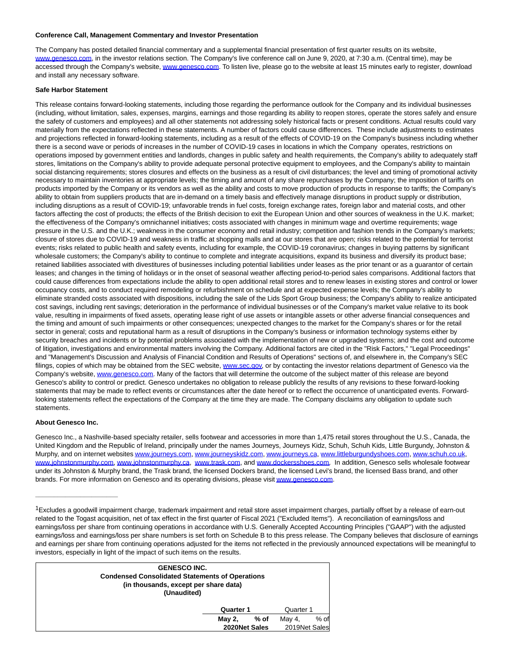#### **Conference Call, Management Commentary and Investor Presentation**

The Company has posted detailed financial commentary and a supplemental financial presentation of first quarter results on its website, [www.genesco.com,](https://c212.net/c/link/?t=0&l=en&o=2824249-1&h=482024839&u=http%3A%2F%2Fwww.genesco.com%2F&a=www.genesco.com) in the investor relations section. The Company's live conference call on June 9, 2020, at 7:30 a.m. (Central time), may be accessed through the Company's website[, www.genesco.com.](https://c212.net/c/link/?t=0&l=en&o=2824249-1&h=482024839&u=http%3A%2F%2Fwww.genesco.com%2F&a=www.genesco.com) To listen live, please go to the website at least 15 minutes early to register, download and install any necessary software.

#### **Safe Harbor Statement**

This release contains forward-looking statements, including those regarding the performance outlook for the Company and its individual businesses (including, without limitation, sales, expenses, margins, earnings and those regarding its ability to reopen stores, operate the stores safely and ensure the safety of customers and employees) and all other statements not addressing solely historical facts or present conditions. Actual results could vary materially from the expectations reflected in these statements. A number of factors could cause differences. These include adjustments to estimates and projections reflected in forward-looking statements, including as a result of the effects of COVID-19 on the Company's business including whether there is a second wave or periods of increases in the number of COVID-19 cases in locations in which the Company operates, restrictions on operations imposed by government entities and landlords, changes in public safety and health requirements, the Company's ability to adequately staff stores, limitations on the Company's ability to provide adequate personal protective equipment to employees, and the Company's ability to maintain social distancing requirements; stores closures and effects on the business as a result of civil disturbances; the level and timing of promotional activity necessary to maintain inventories at appropriate levels; the timing and amount of any share repurchases by the Company; the imposition of tariffs on products imported by the Company or its vendors as well as the ability and costs to move production of products in response to tariffs; the Company's ability to obtain from suppliers products that are in-demand on a timely basis and effectively manage disruptions in product supply or distribution, including disruptions as a result of COVID-19; unfavorable trends in fuel costs, foreign exchange rates, foreign labor and material costs, and other factors affecting the cost of products; the effects of the British decision to exit the European Union and other sources of weakness in the U.K. market; the effectiveness of the Company's omnichannel initiatives; costs associated with changes in minimum wage and overtime requirements; wage pressure in the U.S. and the U.K.; weakness in the consumer economy and retail industry; competition and fashion trends in the Company's markets; closure of stores due to COVID-19 and weakness in traffic at shopping malls and at our stores that are open; risks related to the potential for terrorist events; risks related to public health and safety events, including for example, the COVID-19 coronavirus; changes in buying patterns by significant wholesale customers; the Company's ability to continue to complete and integrate acquisitions, expand its business and diversify its product base; retained liabilities associated with divestitures of businesses including potential liabilities under leases as the prior tenant or as a guarantor of certain leases; and changes in the timing of holidays or in the onset of seasonal weather affecting period-to-period sales comparisons. Additional factors that could cause differences from expectations include the ability to open additional retail stores and to renew leases in existing stores and control or lower occupancy costs, and to conduct required remodeling or refurbishment on schedule and at expected expense levels; the Company's ability to eliminate stranded costs associated with dispositions, including the sale of the Lids Sport Group business; the Company's ability to realize anticipated cost savings, including rent savings; deterioration in the performance of individual businesses or of the Company's market value relative to its book value, resulting in impairments of fixed assets, operating lease right of use assets or intangible assets or other adverse financial consequences and the timing and amount of such impairments or other consequences; unexpected changes to the market for the Company's shares or for the retail sector in general; costs and reputational harm as a result of disruptions in the Company's business or information technology systems either by security breaches and incidents or by potential problems associated with the implementation of new or upgraded systems; and the cost and outcome of litigation, investigations and environmental matters involving the Company. Additional factors are cited in the "Risk Factors," "Legal Proceedings" and "Management's Discussion and Analysis of Financial Condition and Results of Operations" sections of, and elsewhere in, the Company's SEC filings, copies of which may be obtained from the SEC website, [www.sec.gov,](https://c212.net/c/link/?t=0&l=en&o=2824249-1&h=3210102418&u=http%3A%2F%2Fwww.sec.gov%2F&a=www.sec.gov) or by contacting the investor relations department of Genesco via the Company's website[, www.genesco.com.](https://c212.net/c/link/?t=0&l=en&o=2824249-1&h=482024839&u=http%3A%2F%2Fwww.genesco.com%2F&a=www.genesco.com) Many of the factors that will determine the outcome of the subject matter of this release are beyond Genesco's ability to control or predict. Genesco undertakes no obligation to release publicly the results of any revisions to these forward-looking statements that may be made to reflect events or circumstances after the date hereof or to reflect the occurrence of unanticipated events. Forwardlooking statements reflect the expectations of the Company at the time they are made. The Company disclaims any obligation to update such statements.

#### **About Genesco Inc.**

**\_\_\_\_\_\_\_\_\_\_\_\_\_\_\_\_\_\_\_\_\_\_**

Genesco Inc., a Nashville-based specialty retailer, sells footwear and accessories in more than 1,475 retail stores throughout the U.S., Canada, the United Kingdom and the Republic of Ireland, principally under the names Journeys, Journeys Kidz, Schuh, Schuh Kids, Little Burgundy, Johnston & Murphy, and on internet website[s www.journeys.com,](https://c212.net/c/link/?t=0&l=en&o=2824249-1&h=3578777034&u=http%3A%2F%2Fwww.journeys.com%2F&a=www.journeys.com) [www.journeyskidz.com,](https://c212.net/c/link/?t=0&l=en&o=2824249-1&h=873958557&u=http%3A%2F%2Fwww.journeyskidz.com%2F&a=www.journeyskidz.com) [www.journeys.ca,](https://c212.net/c/link/?t=0&l=en&o=2824249-1&h=7438922&u=http%3A%2F%2Fwww.journeys.ca%2F&a=www.journeys.ca) [www.littleburgundyshoes.com,](https://c212.net/c/link/?t=0&l=en&o=2824249-1&h=2859981781&u=http%3A%2F%2Fwww.littleburgundyshoes.com%2F&a=www.littleburgundyshoes.com) [www.schuh.co.uk,](https://c212.net/c/link/?t=0&l=en&o=2824249-1&h=1546841982&u=http%3A%2F%2Fwww.schuh.co.uk%2F&a=www.schuh.co.uk) [www.johnstonmurphy.com,](https://c212.net/c/link/?t=0&l=en&o=2824249-1&h=2376377293&u=http%3A%2F%2Fwww.johnstonmurphy.com%2F&a=www.johnstonmurphy.com) [www.johnstonmurphy.ca,](https://c212.net/c/link/?t=0&l=en&o=2824249-1&h=2536896611&u=http%3A%2F%2Fwww.johnstonmurphy.ca%2F&a=www.johnstonmurphy.ca) [www.trask.com,](https://c212.net/c/link/?t=0&l=en&o=2824249-1&h=2137403849&u=http%3A%2F%2Fwww.trask.com%2F&a=www.trask.com) and [www.dockersshoes.com.](https://c212.net/c/link/?t=0&l=en&o=2824249-1&h=2793862674&u=http%3A%2F%2Fwww.dockersshoes.com%2F&a=www.dockersshoes.com) In addition, Genesco sells wholesale footwear under its Johnston & Murphy brand, the Trask brand, the licensed Dockers brand, the licensed Levi's brand, the licensed Bass brand, and other brands. For more information on Genesco and its operating divisions, please visi[t www.genesco.com.](https://c212.net/c/link/?t=0&l=en&o=2824249-1&h=482024839&u=http%3A%2F%2Fwww.genesco.com%2F&a=www.genesco.com)

<sup>1</sup>Excludes a goodwill impairment charge, trademark impairment and retail store asset impairment charges, partially offset by a release of earn-out related to the Togast acquisition, net of tax effect in the first quarter of Fiscal 2021 ("Excluded Items"). A reconciliation of earnings/loss and earnings/loss per share from continuing operations in accordance with U.S. Generally Accepted Accounting Principles ("GAAP") with the adjusted earnings/loss and earnings/loss per share numbers is set forth on Schedule B to this press release. The Company believes that disclosure of earnings and earnings per share from continuing operations adjusted for the items not reflected in the previously announced expectations will be meaningful to investors, especially in light of the impact of such items on the results.

| <b>GENESCO INC.</b><br><b>Condensed Consolidated Statements of Operations</b><br>(in thousands, except per share data)<br>(Unaudited) |                  |      |               |        |
|---------------------------------------------------------------------------------------------------------------------------------------|------------------|------|---------------|--------|
|                                                                                                                                       | <b>Quarter 1</b> |      | Quarter 1     |        |
|                                                                                                                                       | May 2,           | % of | May 4,        | $%$ of |
|                                                                                                                                       | 2020Net Sales    |      | 2019Net Sales |        |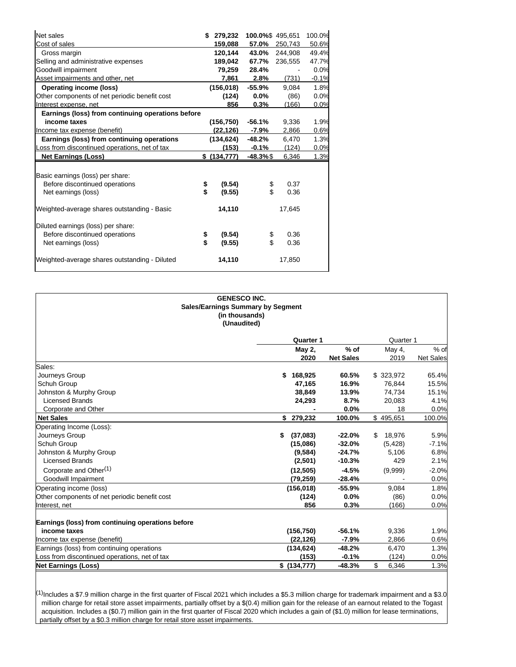| Net sales                                         | \$<br>279,232 | 100.0%\$ 495,651 |         | 100.0%  |
|---------------------------------------------------|---------------|------------------|---------|---------|
| Cost of sales                                     | 159,088       | 57.0%            | 250,743 | 50.6%   |
| Gross margin                                      | 120,144       | 43.0%            | 244,908 | 49.4%   |
| Selling and administrative expenses               | 189,042       | 67.7%            | 236,555 | 47.7%   |
| Goodwill impairment                               | 79,259        | 28.4%            |         | 0.0%    |
| Asset impairments and other, net                  | 7,861         | 2.8%             | (731)   | $-0.1%$ |
| <b>Operating income (loss)</b>                    | (156, 018)    | $-55.9%$         | 9.084   | 1.8%    |
| Other components of net periodic benefit cost     | (124)         | $0.0\%$          | (86)    | 0.0%    |
| Interest expense, net                             | 856           | 0.3%             | (166)   | 0.0%    |
| Earnings (loss) from continuing operations before |               |                  |         |         |
| income taxes                                      | (156, 750)    | -56.1%           | 9,336   | 1.9%    |
| Income tax expense (benefit)                      | (22, 126)     | -7.9%            | 2,866   | 0.6%    |
| Earnings (loss) from continuing operations        | (134, 624)    | $-48.2%$         | 6,470   | 1.3%    |
| Loss from discontinued operations, net of tax     | (153)         | $-0.1%$          | (124)   | 0.0%    |
| <b>Net Earnings (Loss)</b>                        | \$ (134, 777) | $-48.3%$         | 6,346   | 1.3%    |
|                                                   |               |                  |         |         |
| Basic earnings (loss) per share:                  |               |                  |         |         |
| Before discontinued operations                    | \$<br>(9.54)  | \$               | 0.37    |         |
| Net earnings (loss)                               | \$<br>(9.55)  | \$               | 0.36    |         |
|                                                   |               |                  |         |         |
| Weighted-average shares outstanding - Basic       | 14,110        |                  | 17,645  |         |
|                                                   |               |                  |         |         |
| Diluted earnings (loss) per share:                |               |                  |         |         |
| Before discontinued operations                    | \$<br>(9.54)  | \$               | 0.36    |         |
| Net earnings (loss)                               | \$<br>(9.55)  | \$               | 0.36    |         |
|                                                   |               |                  |         |         |
| Weighted-average shares outstanding - Diluted     | 14,110        |                  | 17,850  |         |
|                                                   |               |                  |         |         |

|                                                   | <b>GENESCO INC.</b><br><b>Sales/Earnings Summary by Segment</b><br>(in thousands)<br>(Unaudited) |                  |              |                  |
|---------------------------------------------------|--------------------------------------------------------------------------------------------------|------------------|--------------|------------------|
|                                                   | <b>Quarter 1</b>                                                                                 |                  | Quarter 1    |                  |
|                                                   | May 2,                                                                                           | $%$ of           | May 4,       | $%$ of           |
|                                                   | 2020                                                                                             | <b>Net Sales</b> | 2019         | <b>Net Sales</b> |
| Sales:                                            |                                                                                                  |                  |              |                  |
| Journeys Group                                    | 168,925<br>\$                                                                                    | 60.5%            | \$323,972    | 65.4%            |
| Schuh Group                                       | 47,165                                                                                           | 16.9%            | 76,844       | 15.5%            |
| Johnston & Murphy Group                           | 38,849                                                                                           | 13.9%            | 74,734       | 15.1%            |
| <b>Licensed Brands</b>                            | 24,293                                                                                           | 8.7%             | 20,083       | 4.1%             |
| Corporate and Other                               |                                                                                                  | 0.0%             | 18           | 0.0%             |
| <b>Net Sales</b>                                  | \$279,232                                                                                        | 100.0%           | \$495,651    | 100.0%           |
| Operating Income (Loss):                          |                                                                                                  |                  |              |                  |
| Journeys Group                                    | (37,083)<br>\$                                                                                   | $-22.0%$         | 18,976<br>\$ | 5.9%             |
| Schuh Group                                       | (15,086)                                                                                         | $-32.0%$         | (5, 428)     | $-7.1%$          |
| Johnston & Murphy Group                           | (9,584)                                                                                          | $-24.7%$         | 5,106        | 6.8%             |
| <b>Licensed Brands</b>                            | (2,501)                                                                                          | $-10.3%$         | 429          | 2.1%             |
| Corporate and Other <sup>(1)</sup>                | (12, 505)                                                                                        | $-4.5%$          | (9,999)      | $-2.0%$          |
| Goodwill Impairment                               | (79,259)                                                                                         | $-28.4%$         |              | 0.0%             |
| Operating income (loss)                           | (156, 018)                                                                                       | $-55.9%$         | 9,084        | 1.8%             |
| Other components of net periodic benefit cost     | (124)                                                                                            | 0.0%             | (86)         | 0.0%             |
| Interest, net                                     | 856                                                                                              | 0.3%             | (166)        | 0.0%             |
| Earnings (loss) from continuing operations before |                                                                                                  |                  |              |                  |
| income taxes                                      | (156, 750)                                                                                       | $-56.1%$         | 9,336        | 1.9%             |
| Income tax expense (benefit)                      | (22,126)                                                                                         | -7.9%            | 2,866        | 0.6%             |
| Earnings (loss) from continuing operations        | (134, 624)                                                                                       | $-48.2%$         | 6,470        | 1.3%             |
| Loss from discontinued operations, net of tax     | (153)                                                                                            | $-0.1%$          | (124)        | 0.0%             |
| <b>Net Earnings (Loss)</b>                        | \$ (134, 777)                                                                                    | $-48.3%$         | \$<br>6,346  | 1.3%             |

(1)Includes a \$7.9 million charge in the first quarter of Fiscal 2021 which includes a \$5.3 million charge for trademark impairment and a \$3.0 million charge for retail store asset impairments, partially offset by a \$(0.4) million gain for the release of an earnout related to the Togast acquisition. Includes a (\$0.7) million gain in the first quarter of Fiscal 2020 which includes a gain of (\$1.0) million for lease terminations, partially offset by a \$0.3 million charge for retail store asset impairments.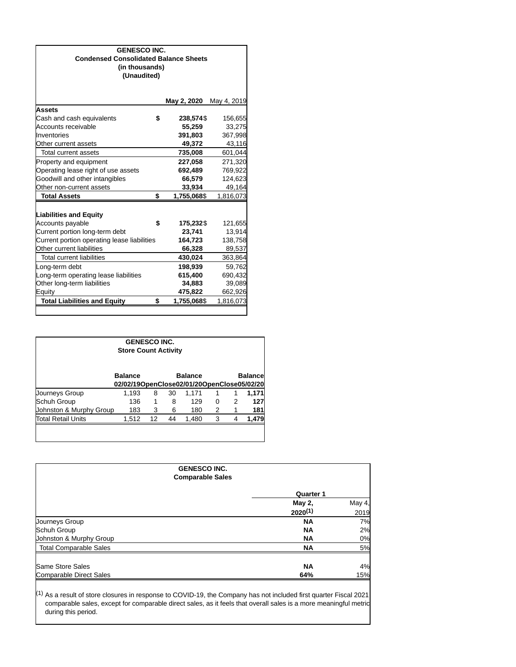## **GENESCO INC. Condensed Consolidated Balance Sheets (in thousands) (Unaudited)**

|                                             | May 2, 2020       | May 4, 2019 |
|---------------------------------------------|-------------------|-------------|
| <b>Assets</b>                               |                   |             |
| Cash and cash equivalents                   | \$<br>238,574\$   | 156,655     |
| Accounts receivable                         | 55.259            | 33,275      |
| Inventories                                 | 391,803           | 367,998     |
| Other current assets                        | 49,372            | 43,116      |
| Total current assets                        | 735,008           | 601,044     |
| Property and equipment                      | 227,058           | 271,320     |
| Operating lease right of use assets         | 692,489           | 769,922     |
| Goodwill and other intangibles              | 66,579            | 124,623     |
| Other non-current assets                    | 33,934            | 49,164      |
| <b>Total Assets</b>                         | 1,755,068\$       | 1,816,073   |
|                                             |                   |             |
| <b>Liabilities and Equity</b>               |                   |             |
| Accounts payable                            | \$<br>175,232\$   | 121,655     |
| Current portion long-term debt              | 23,741            | 13,914      |
| Current portion operating lease liabilities | 164,723           | 138,758     |
| Other current liabilities                   | 66,328            | 89,537      |
| Total current liabilities                   | 430,024           | 363,864     |
| Long-term debt                              | 198,939           | 59,762      |
| Long-term operating lease liabilities       | 615,400           | 690,432     |
| Other long-term liabilities                 | 34,883            | 39,089      |
| Equity                                      | 475,822           | 662,926     |
| <b>Total Liabilities and Equity</b>         | \$<br>1,755,068\$ | 1,816,073   |
|                                             |                   |             |

|                           | <b>GENESCO INC.</b><br><b>Store Count Activity</b>           |    |    |                |   |   |                |
|---------------------------|--------------------------------------------------------------|----|----|----------------|---|---|----------------|
|                           | <b>Balance</b><br>02/02/19OpenClose02/01/20OpenClose05/02/20 |    |    | <b>Balance</b> |   |   | <b>Balance</b> |
| Journeys Group            | 1,193                                                        | 8  | 30 | 1,171          |   |   | 1,171          |
| <b>Schuh Group</b>        | 136                                                          | 1  | 8  | 129            | 0 | 2 | 127            |
| Johnston & Murphy Group   | 183                                                          | 3  | 6  | 180            | 2 |   | 181            |
| <b>Total Retail Units</b> | 1,512                                                        | 12 | 44 | 1,480          | 3 | 4 | 1,479          |
|                           |                                                              |    |    |                |   |   |                |

| <b>GENESCO INC.</b><br><b>Comparable Sales</b> |                  |        |
|------------------------------------------------|------------------|--------|
|                                                | <b>Quarter 1</b> |        |
|                                                | May 2,           | May 4, |
|                                                | $2020^{(1)}$     | 2019   |
| Journeys Group                                 | <b>NA</b>        | 7%     |
| Schuh Group                                    | <b>NA</b>        | 2%     |
| Johnston & Murphy Group                        | <b>NA</b>        | 0%     |
| <b>Total Comparable Sales</b>                  | <b>NA</b>        | 5%     |
| Same Store Sales                               | <b>NA</b>        | 4%     |
| Comparable Direct Sales                        | 64%              | 15%    |

<sup>(1)</sup> As a result of store closures in response to COVID-19, the Company has not included first quarter Fiscal 2021 comparable sales, except for comparable direct sales, as it feels that overall sales is a more meaningful metric during this period.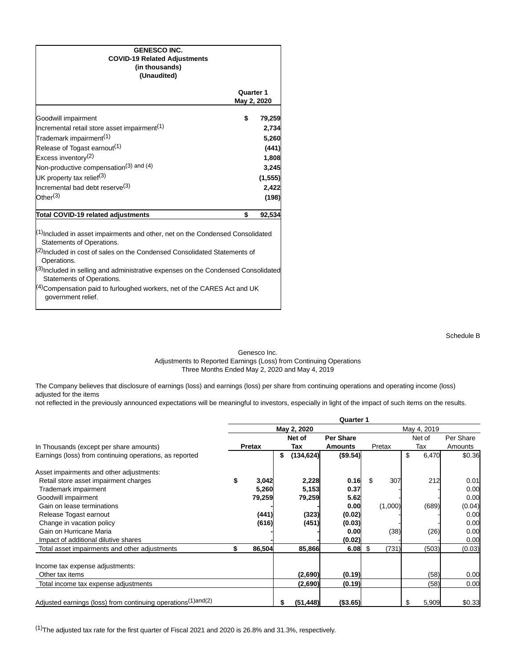| <b>GENESCO INC.</b><br><b>COVID-19 Related Adjustments</b><br>(in thousands)<br>(Unaudited)                           |                          |          |
|-----------------------------------------------------------------------------------------------------------------------|--------------------------|----------|
|                                                                                                                       | Quarter 1<br>May 2, 2020 |          |
| Goodwill impairment                                                                                                   | \$                       | 79,259   |
| Incremental retail store asset impairment <sup>(1)</sup>                                                              |                          | 2,734    |
| Trademark impairment <sup>(1)</sup>                                                                                   |                          | 5,260    |
| Release of Togast earnout <sup>(1)</sup>                                                                              |                          | (441)    |
| Excess inventory $(2)$                                                                                                |                          | 1,808    |
| Non-productive compensation <sup>(3)</sup> and (4)                                                                    |                          | 3,245    |
| UK property tax relief $(3)$                                                                                          |                          | (1, 555) |
| Incremental bad debt reserve <sup>(3)</sup>                                                                           |                          | 2,422    |
| Other $(3)$                                                                                                           |                          | (198)    |
| Total COVID-19 related adjustments                                                                                    | \$                       | 92,534   |
| $(1)$ Included in asset impairments and other, net on the Condensed Consolidated<br>Statements of Operations.         |                          |          |
| <sup>(2)</sup> Included in cost of sales on the Condensed Consolidated Statements of<br>Operations.                   |                          |          |
| (3) Included in selling and administrative expenses on the Condensed Consolidated<br>Statements of Operations.<br>(1) |                          |          |

 $(4)$ Compensation paid to furloughed workers, net of the CARES Act and UK government relief.

Schedule B

## Genesco Inc. Adjustments to Reported Earnings (Loss) from Continuing Operations Three Months Ended May 2, 2020 and May 4, 2019

The Company believes that disclosure of earnings (loss) and earnings (loss) per share from continuing operations and operating income (loss) adjusted for the items

not reflected in the previously announced expectations will be meaningful to investors, especially in light of the impact of such items on the results.

|                                                              |               |                  | <b>Quarter 1</b> |             |             |           |
|--------------------------------------------------------------|---------------|------------------|------------------|-------------|-------------|-----------|
|                                                              |               | May 2, 2020      |                  |             | May 4, 2019 |           |
|                                                              |               | Net of           | Per Share        |             | Net of      | Per Share |
| In Thousands (except per share amounts)                      | <b>Pretax</b> | Tax              | <b>Amounts</b>   | Pretax      | Tax         | Amounts   |
| Earnings (loss) from continuing operations, as reported      |               | \$<br>(134, 624) | (\$9.54)         |             | \$<br>6,470 | \$0.36    |
| Asset impairments and other adjustments:                     |               |                  |                  |             |             |           |
| Retail store asset impairment charges                        | \$<br>3,042   | 2,228            | 0.16             | \$<br>307   | 212         | 0.01      |
| Trademark impairment                                         | 5,260         | 5,153            | 0.37             |             |             | 0.00      |
| Goodwill impairment                                          | 79,259        | 79,259           | 5.62             |             |             | 0.00      |
| Gain on lease terminations                                   |               |                  | 0.00             | (1,000)     | (689)       | (0.04)    |
| Release Togast earnout                                       | (441)         | (323)            | (0.02)           |             |             | 0.00      |
| Change in vacation policy                                    | (616)         | (451)            | (0.03)           |             |             | 0.00      |
| Gain on Hurricane Maria                                      |               |                  | 0.00             | (38)        | (26)        | 0.00      |
| Impact of additional dilutive shares                         |               |                  | (0.02)           |             |             | 0.00      |
| Total asset impairments and other adjustments                | 86,504        | 85,866           | 6.08             | \$<br>(731) | (503)       | (0.03)    |
| Income tax expense adjustments:                              |               |                  |                  |             |             |           |
| Other tax items                                              |               | (2,690)          | (0.19)           |             | (58)        | 0.00      |
| Total income tax expense adjustments                         |               | (2,690)          | (0.19)           |             | (58)        | 0.00      |
| Adjusted earnings (loss) from continuing operations(1)and(2) |               | (51, 448)        | ( \$3.65)        |             | \$<br>5,909 | \$0.33    |

(1)The adjusted tax rate for the first quarter of Fiscal 2021 and 2020 is 26.8% and 31.3%, respectively.